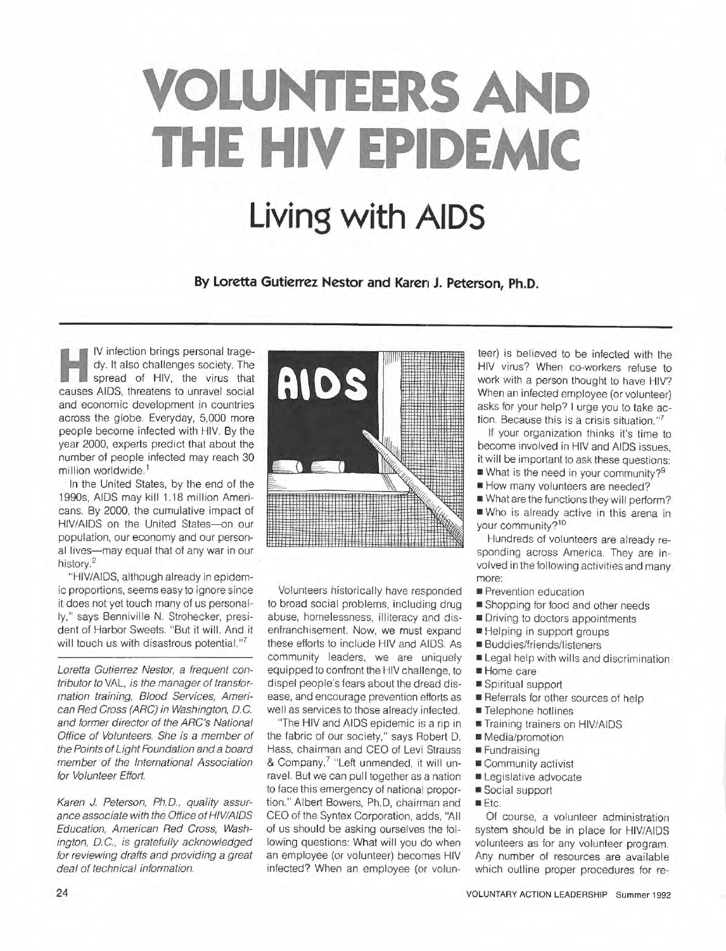# **VOLUNTEERS AND THE HIV EPIDEMIC Living with AIDS**

By Loretta Gutierrez Nestor and Karen J. Peterson, Ph.D.

IV infection brings personal tragedy. It also challenges society. The spread of HIV, the virus that causes AIDS, threatens to unravel social and economic development in countries across the globe. Everyday, 5,000 more people become infected with HIV. By the year 2000, experts predict that about the number of people infected may reach 30 million worldwide.<sup>1</sup>

In the United States, by the end of the 1990s, AIDS may kill 1.18 million Americans. By 2000, the cumulative impact of HIV/AIDS on the United States-on our population, our economy and our personal lives-may equal that of any war in our history.2

"HIV/AIDS, although already in epidemic proportions, seems easy to ignore since it does not yet touch many of us personally," says Benniville N. Strohecker, president of Harbor Sweets. "But it will. And it will touch us with disastrous potential."<sup>7</sup>

Loretta Gutierrez Nestor, a frequent contributor to VAL, is the manager of transformation training, Blood Services, American Red Cross (ARC) in Washington, D.C. and former director of the ARC's National Office of Volunteers. She is a member of the Points of Light Foundation and a board member of the International Association for Volunteer Effort.

Karen J. Peterson, Ph.D., quality assurance associate with the Office of HIV/AIDS Education, American Red Cross, Washington, D.C., is gratefully acknowledged for reviewing drafts and providing a great deal of technical information.



Volunteers historically have responded to broad social problems, including drug abuse, homelessness, illiteracy and disenfranchisement. Now, we must expand these efforts to include HIV and AIDS. As community leaders, we are uniquely equipped to confront the HIV challenge, to dispel people's fears about the dread disease, and encourage prevention efforts as well as services to those already infected.

'The HIV and AIDS epidemic is a rip in the fabric of our society," says Robert D. Hass, chairman and CEO of Levi Strauss & Company.7 "Left unmended, it will unravel. But we can pull together as a nation to face this emergency of national proportion." Albert Bowers, Ph.D, chairman and CEO of the Syntex Corporation, adds, "All of us should be asking ourselves the following questions: What will you do when an employee (or volunteer) becomes HIV infected? When an employee (or volunteer) is believed to be infected with the HIV virus? When co-workers refuse to work with a person thought to have HIV? When an infected employee (or volunteer) asks for your help? I urge you to take action. Because this is a crisis situation."7

If your organization thinks it's time to become involved in HIV and AIDS issues, it will be important to ask these questions:

- What is the need in your community?<sup>9</sup>
- How many volunteers are needed?

■ What are the functions they will perform?

■ Who is already active in this arena in your community?<sup>10</sup>

Hundreds of volunteers are already responding across America. They are involved in the following activities and many more:

- Prevention education
- Shopping for food and other needs
- Driving to doctors appointments
- Helping in support groups
- Buddies/friends/listeners
- Legal help with wills and discrimination
- Home care
- Spiritual support
- Referrals for other sources of help
- Telephone hotlines
- Training trainers on HIV/AIDS
- Media/promotion
- Fundraising
- Community activist
- Legislative advocate
- Social support
- Etc.

Of course, a volunteer administration system should be in place for HIV/AIDS volunteers as for any volunteer program. Any number of resources are available which outline proper procedures for re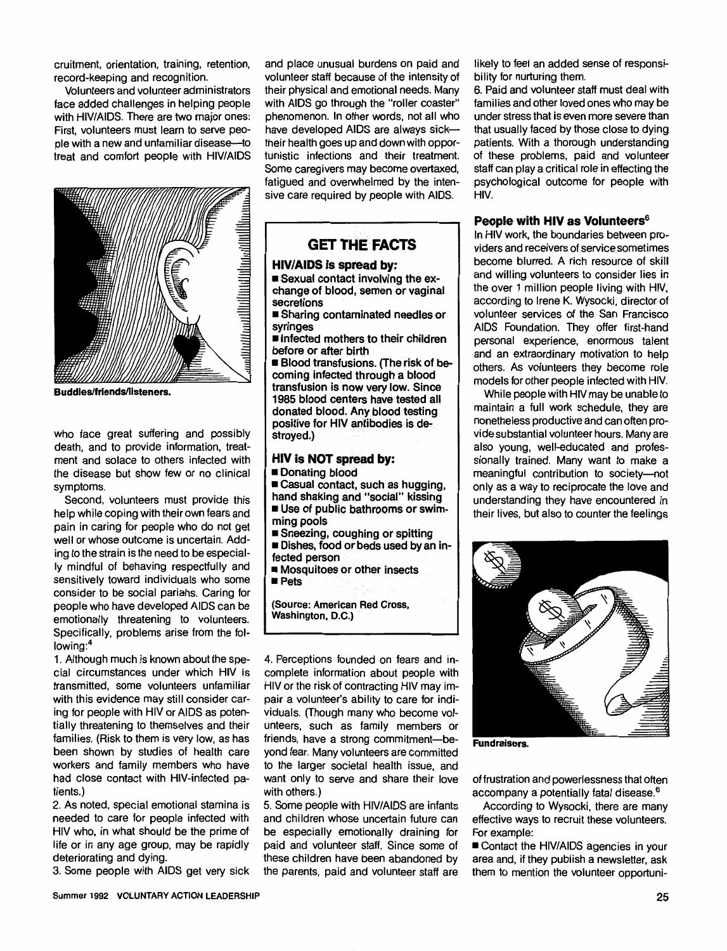cruitment, orientation, training, retention, record-keeping and recognition.

Volunteers and volunteer administrators face added challenges in helping people with HIV/AIDS. There are two major ones: First, volunteers must learn to serve people with a new and unfamiliar disease-to treat and comfort people with HIV/AIDS



**Buddies/friends/listeners.** 

who face great suffering and possibly death, and to provide information, treatment and solace to others infected with the disease but show few or no clinical symptoms.

Second, volunteers must provide this help while coping with their own fears and pain in caring for people who do not get well or whose outcome is uncertain. Adding to the strain is the need to be especially mindful of behaving respectfully and sensitively toward individuals who some consider to be social pariahs. Caring for people who have developed AIDS can be emotionally threatening to volunteers. Specifically, problems arise from the following:<sup>4</sup>

1. Although much is known about the special circumstances under which HIV is transmitted, some volunteers unfamiliar with this evidence may still consider caring for people with HIV or AIDS as potentially threatening to themselves and their families. (Risk to them is very low, as has been shown by studies of health care workers and family members who have had close contact with HIV-infected patients.)

2. As noted, special emotional stamina is needed to care for people infected with HIV who, in what should be the prime of life or in any age group, may be rapidly deteriorating and dying.

3. Some people with AIDS get very sick

and place unusual burdens on paid and volunteer staff because of the intensity of their physical and emotional needs. Many with AIDS go through the "roller coaster" phenomenon. In other words, not all who have developed AIDS are always sicktheir health goes up and down with opportunistic infections and their treatment. Some caregivers may become overtaxed, fatigued and overwhelmed by the intensive care required by people with AIDS.

# **GET THE FACTS**

# **HIV/AIDS is spread.by:**

■ Sexual contact involving the exchange of blood, semen or vaginal secretions

■ Sharing contaminated needles or syringes

■ Infected mothers to their children before or after birth

■ Blood transfusions. (The risk of becoming infected through a blood transfusion is now very low. Since 1985 blood centers have tested all donated blood. Any blood testing positive for HIV antibodies is destroyed.)

#### **HIV is NOT spread by:**  ■ **Donating blood**

■ Casual contact, such as hugging, **hand shaking and "social" kissing**  ■ Use of **public bathrooms** or swim-

- **ming pools**
- **Sneezing, coughing or spitting**

■ **Dishes, food or beds used by an infected person** 

- **Mosquitoes or other insects**
- **Pets**

**(Source: American Red Cross, Washington, D.C.)** 

4. Perceptions founded on fears and incomplete information about people with HIV or the risk of contracting HIV may impair a volunteer's ability to care for individuals. (Though many who become volunteers, such as family members or friends, have a strong commitment-beyond fear. Many volunteers are committed to the larger societal health issue, and want only to serve and share their love with others.)

5. Some people with HIV/AIDS are infants and children whose uncertain future can be especially emotionally draining for paid and volunteer staff. Since some of these children have been abandoned by the parents, paid and volunteer staff are likely to feel an added sense of responsibility for nurturing them.

6. Paid and volunteer staff must deal with families and other loved ones who may be under stress that is even more severe than that usually faced by those close to dying patients. With a thorough understanding of these problems, paid and volunteer staff can play a critical role in effecting the psychological outcome for people with HIV.

# **People with HIV as Volunteers6**

In HIV work, the boundaries between providers and receivers of service sometimes become blurred. A rich resource of skill and willing volunteers to consider lies in the over 1 million people living with HIV, according to Irene K. Wysocki, director of volunteer services of the San Francisco AIDS Foundation. They offer first-hand personal experience, enormous talent and an extraordinary motivation to help others. As volunteers they become role models for other people infected with HIV.

While people with HIV may be unable to maintain a full work schedule, they are nonetheless productive and can often provide substantial volunteer hours. Many are also young, well-educated and professionally trained. Many want to make a meaningful contribution to society-not only as a way to reciprocate the love and understanding they have encountered in their lives, but also to counter the feelings



**Fundraisers.** 

of frustration and powerlessness that often accompany a potentially fatal disease.<sup>6</sup>

According to Wysocki, there are many effective ways to recruit these volunteers. For example:

■ Contact the HIV/AIDS agencies in your area and, if they publish a newsletter, ask them to mention the volunteer opportuni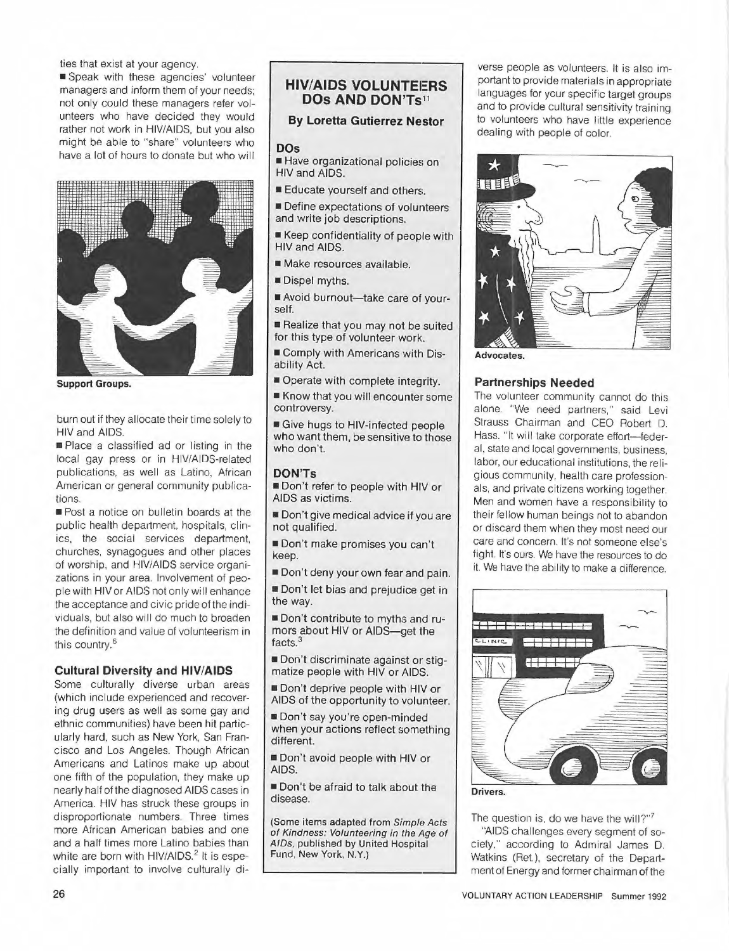ties that exist at your agency.

■ Speak with these agencies' volunteer managers and inform them of your needs; not only could these managers refer volunteers who have decided they would rather not work in HIV/AIDS, but you also might be able to "share" volunteers who have a lot of hours to donate but who will



**Support Groups.** 

burn out if they allocate their time solely to HIV and AIDS.

■ Place a classified ad or listing in the local gay press or in HIV/AIDS-related publications, as well as Latino, African American or general community publications.

■ Post a notice on bulletin boards at the public health department, hospitals, clinics, the social services department, churches, synagogues and other places of worship, and HIV/AIDS service organizations in your area. Involvement of people with HIV or AIDS not only will enhance the acceptance and civic pride of the individuals, but also will do much to broaden the definition and value of volunteerism in this country.<sup>6</sup>

# **Cultural Diversity and HIV/AIDS**

Some culturally diverse urban areas {which include experienced and recovering drug users as well as some gay and ethnic communities) have been hit particularly hard, such as New York, San Francisco and Los Angeles. Though African Americans and Latinos make up about one fifth of the population, they make up nearly half of the diagnosed AIDS cases in America. HIV has struck these groups in disproportionate numbers. Three times more African American babies and one and a half times more Latino babies than white are born with HIV/AIDS.<sup>2</sup> It is especially important to involve culturally di-

# **HIV/AIDS VOLUNTEERS DOs AND DON'Ts <sup>11</sup>**

# **By Loretta Gutierrez Nestor**

#### **DOs**

- Have organizational policies on HIV and AIDS.
- Educate yourself and others.

■ Define expectations of volunteers and write job descriptions.

- Keep confidentiality of people with HIV and AIDS.
- Make resources available.
- Dispel myths.
- Avoid burnout-take care of yourself.

■ Realize that you may not be suited for this type of volunteer work.

■ Comply with Americans with Disability Act.

■ Operate with complete integrity. ■ Know that you will encounter some controversy.

■ Give hugs to HIV-infected people who want them, be sensitive to those who don't.

# **DON'Ts**

■ Don't refer to people with HIV or AIDS as victims.

■ Don't give medical advice if you are not qualified.

■ Don't make promises you can't keep.

- Don't deny your own fear and pain.
- Don't let bias and prejudice get in the way.

■ Don't contribute to myths and rumors about HIV or AIDS-get the facts.<sup>3</sup>

■ Don't discriminate against or stigmatize people with HIV or AIDS.

■ Don't deprive people with HIV or AIDS of the opportunity to volunteer.

■ Don't say you're open-minded when your actions reflect something different.

■ Don't avoid people with HIV or **AIDS.** 

■ Don't be afraid to talk about the disease.

(Some items adapted from Simple Acts of Kindness: Volunteering in the Age of A/Os, published by United Hospital Fund, New York, **N.Y.)** 

verse people as volunteers. It is also important to provide materials in appropriate languages for your specific target groups and to provide cultural sensitivity training to volunteers who have little experience dealing with people of color.



**Advocates.** 

#### **Partnerships Needed**

The volunteer community cannot do this alone. "We need partners," said Levi Strauss Chairman and CEO Robert D. Hass. "It will take corporate effort-federal, state and local governments, business, labor, our educational institutions, the religious community, health care professionals, and private citizens working together. Men and women have a responsibility to their fellow human beings not to abandon or discard them when they most need our care and concern. It's not someone else's fight. It's ours. We have the resources to do it. We have the ability to make a difference.



The question is, do we have the will?" $7$ 

"AIDS challenges every segment of society," according to Admiral James D. Watkins (Ret.), secretary of the Department of Energy and former chairman of the